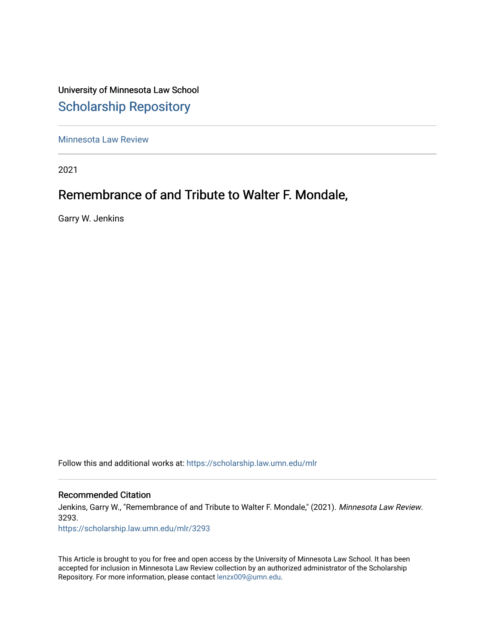## University of Minnesota Law School [Scholarship Repository](https://scholarship.law.umn.edu/)

[Minnesota Law Review](https://scholarship.law.umn.edu/mlr) 

2021

# Remembrance of and Tribute to Walter F. Mondale,

Garry W. Jenkins

Follow this and additional works at: [https://scholarship.law.umn.edu/mlr](https://scholarship.law.umn.edu/mlr?utm_source=scholarship.law.umn.edu%2Fmlr%2F3293&utm_medium=PDF&utm_campaign=PDFCoverPages)

#### Recommended Citation

Jenkins, Garry W., "Remembrance of and Tribute to Walter F. Mondale," (2021). Minnesota Law Review. 3293.

[https://scholarship.law.umn.edu/mlr/3293](https://scholarship.law.umn.edu/mlr/3293?utm_source=scholarship.law.umn.edu%2Fmlr%2F3293&utm_medium=PDF&utm_campaign=PDFCoverPages)

This Article is brought to you for free and open access by the University of Minnesota Law School. It has been accepted for inclusion in Minnesota Law Review collection by an authorized administrator of the Scholarship Repository. For more information, please contact [lenzx009@umn.edu.](mailto:lenzx009@umn.edu)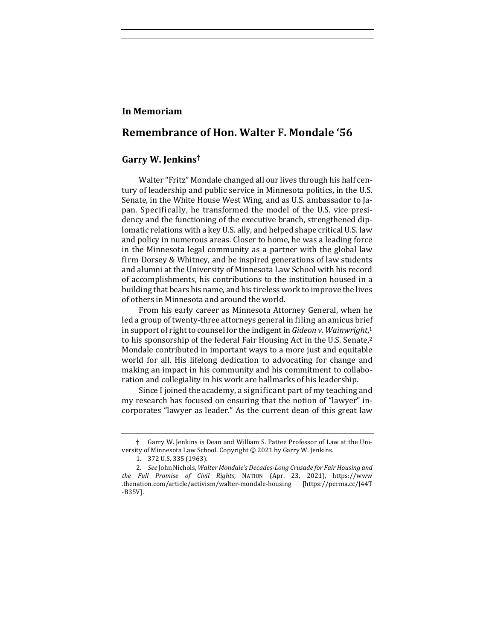#### **In Memoriam**

### **Remembrance of Hon. Walter F. Mondale '56**

#### **Garry W. Jenkins†**

Walter "Fritz" Mondale changed all our lives through his half century of leadership and public service in Minnesota politics, in the U.S. Senate, in the White House West Wing, and as U.S. ambassador to Japan. Specifically, he transformed the model of the U.S. vice presidency and the functioning of the executive branch, strengthened diplomatic relations with a key U.S. ally, and helped shape critical U.S. law and policy in numerous areas. Closer to home, he was a leading force in the Minnesota legal community as a partner with the global law firm Dorsey & Whitney, and he inspired generations of law students and alumni at the University of Minnesota Law School with his record of accomplishments, his contributions to the institution housed in a building that bears his name, and his tireless work to improve the lives of others in Minnesota and around the world.

From his early career as Minnesota Attorney General, when he led a group of twenty-three attorneys general in filing an amicus brief in support of right to counsel for the indigent in *Gideon v. Wainwright*,<sup>1</sup> to his sponsorship of the federal Fair Housing Act in the U.S. Senate,<sup>2</sup> Mondale contributed in important ways to a more just and equitable world for all. His lifelong dedication to advocating for change and making an impact in his community and his commitment to collaboration and collegiality in his work are hallmarks of his leadership.

Since I joined the academy, a significant part of my teaching and my research has focused on ensuring that the notion of "lawyer" incorporates "lawyer as leader." As the current dean of this great law

<sup>†</sup> Garry W. Jenkins is Dean and William S. Pattee Professor of Law at the University of Minnesota Law School. Copyright  $©$  2021 by Garry W. Jenkins.

<sup>1. 372</sup> U.S. 335 (1963).

<sup>2.</sup> *See* John Nichols, *Walter Mondale's Decades-Long Crusade for Fair Housing and the Full Promise of Civil Rights*, NATION (Apr. 23, 2021), https://www .thenation.com/article/activism/walter-mondale-housing [https://perma.cc/J44T -B35V].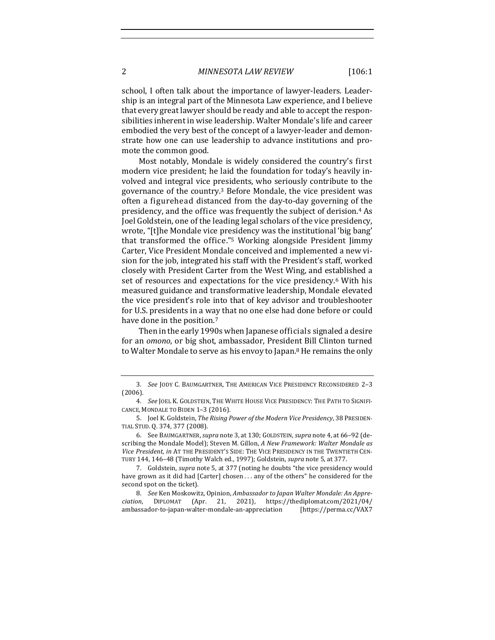school, I often talk about the importance of lawyer-leaders. Leadership is an integral part of the Minnesota Law experience, and I believe that every great lawyer should be ready and able to accept the responsibilities inherent in wise leadership. Walter Mondale's life and career embodied the very best of the concept of a lawyer-leader and demonstrate how one can use leadership to advance institutions and promote the common good.

Most notably, Mondale is widely considered the country's first modern vice president; he laid the foundation for today's heavily involved and integral vice presidents, who seriously contribute to the governance of the country.<sup>3</sup> Before Mondale, the vice president was often a figurehead distanced from the day-to-day governing of the presidency, and the office was frequently the subject of derision.<sup>4</sup> As Joel Goldstein, one of the leading legal scholars of the vice presidency, wrote, "[t]he Mondale vice presidency was the institutional 'big bang' that transformed the office."<sup>5</sup> Working alongside President  $\lim_{x\to 0}$ Carter, Vice President Mondale conceived and implemented a new vision for the job, integrated his staff with the President's staff, worked closely with President Carter from the West Wing, and established a set of resources and expectations for the vice presidency.<sup>6</sup> With his measured guidance and transformative leadership, Mondale elevated the vice president's role into that of key advisor and troubleshooter for U.S. presidents in a way that no one else had done before or could have done in the position.<sup>7</sup>

Then in the early 1990s when Japanese officials signaled a desire for an *omono*, or big shot, ambassador, President Bill Clinton turned to Walter Mondale to serve as his envoy to Japan.<sup>8</sup> He remains the only

<sup>3.</sup> *See* JODY C. BAUMGARTNER, THE AMERICAN VICE PRESIDENCY RECONSIDERED 2-3 (2006).

<sup>4.</sup> See JOEL K. GOLDSTEIN, THE WHITE HOUSE VICE PRESIDENCY: THE PATH TO SIGNIFI-CANCE, MONDALE TO BIDEN 1-3 (2016).

<sup>5.</sup> Joel K. Goldstein, *The Rising Power of the Modern Vice Presidency*, 38 PRESIDEN-TIAL STUD. Q. 374, 377 (2008).

<sup>6.</sup> See BAUMGARTNER, *supra* note 3, at 130; GOLDSTEIN, *supra* note 4, at 66-92 (describing the Mondale Model); Steven M. Gillon, A New Framework: Walter Mondale as *Vice President, in AT THE PRESIDENT'S SIDE: THE VICE PRESIDENCY IN THE TWENTIETH CEN-*TURY 144, 146-48 (Timothy Walch ed., 1997); Goldstein, *supra* note 5, at 377.

<sup>7.</sup> Goldstein, *supra* note 5, at 377 (noting he doubts "the vice presidency would have grown as it did had [Carter] chosen . . . any of the others" he considered for the second spot on the ticket).

<sup>8.</sup> See Ken Moskowitz, Opinion, Ambassador to Japan Walter Mondale: An Appre*ciation*, DIPLOMAT (Apr. 21, 2021), https://thediplomat.com/2021/04/ ambassador-to-japan-walter-mondale-an-appreciation [https://perma.cc/VAX7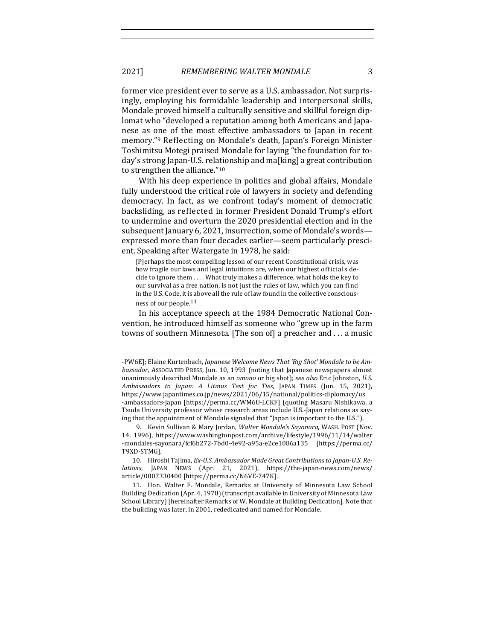former vice president ever to serve as a U.S. ambassador. Not surprisingly, employing his formidable leadership and interpersonal skills, Mondale proved himself a culturally sensitive and skillful foreign diplomat who "developed a reputation among both Americans and Japanese as one of the most effective ambassadors to Japan in recent memory."<sup>9</sup> Reflecting on Mondale's death, Japan's Foreign Minister Toshimitsu Motegi praised Mondale for laying "the foundation for today's strong Japan-U.S. relationship and ma[king] a great contribution to strengthen the alliance."<sup>10</sup>

With his deep experience in politics and global affairs, Mondale fully understood the critical role of lawyers in society and defending democracy. In fact, as we confront today's moment of democratic backsliding, as reflected in former President Donald Trump's effort to undermine and overturn the 2020 presidential election and in the subsequent January 6, 2021, insurrection, some of Mondale's wordsexpressed more than four decades earlier—seem particularly prescient. Speaking after Watergate in 1978, he said:

[P]erhaps the most compelling lesson of our recent Constitutional crisis, was how fragile our laws and legal intuitions are, when our highest officials decide to ignore them  $\dots$ . What truly makes a difference, what holds the key to our survival as a free nation, is not just the rules of law, which you can find in the U.S. Code, it is above all the rule of law found in the collective consciousness of our people.<sup>11</sup>

In his acceptance speech at the 1984 Democratic National Convention, he introduced himself as someone who "grew up in the farm towns of southern Minnesota. [The son of] a preacher and ... a music

<sup>-</sup>PW6E]; Elaine Kurtenbach, *Japanese Welcome News That 'Big Shot' Mondale to be Ambassador*, AssocIATED PRESS, Jun. 10, 1993 (noting that Japanese newspapers almost unanimously described Mondale as an *omono* or big shot); see also Eric Johnston, U.S. *Ambassadors to Japan: A Litmus Test for Ties*, JAPAN TIMES (Jun. 15, 2021), https://www.japantimes.co.jp/news/2021/06/15/national/politics-diplomacy/us -ambassadors-japan [https://perma.cc/WM6U-LCKF] (quoting Masaru Nishikawa, a Tsuda University professor whose research areas include U.S.-Japan relations as saying that the appointment of Mondale signaled that "Japan is important to the U.S.").

<sup>9.</sup> Kevin Sullivan & Mary Jordan, *Walter Mondale's Sayonara*, WASH. POST (Nov. 14, 1996), https://www.washingtonpost.com/archive/lifestyle/1996/11/14/walter -mondales-sayonara/fcf6b272-7bd0-4e92-a95a-e2ce1086a135 [https://perma.cc/ T9XD-STMG].

<sup>10.</sup> Hiroshi Tajima, *Ex-U.S. Ambassador Made Great Contributions to Japan-U.S. Relations*, JAPAN NEWS (Apr. 21, 2021), https://the-japan-news.com/news/ article/0007330400 [https://perma.cc/N6VE-747K].

<sup>11.</sup> Hon. Walter F. Mondale, Remarks at University of Minnesota Law School Building Dedication (Apr. 4, 1978) (transcript available in University of Minnesota Law School Library) [hereinafter Remarks of W. Mondale at Building Dedication]. Note that the building was later, in 2001, rededicated and named for Mondale.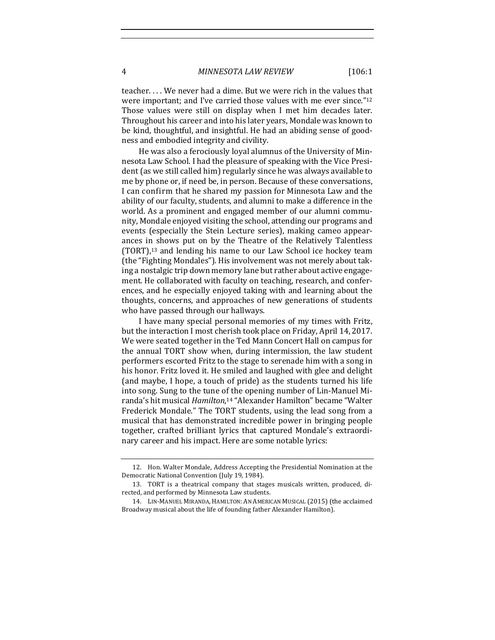teacher.... We never had a dime. But we were rich in the values that were important; and I've carried those values with me ever since." $12$ Those values were still on display when I met him decades later. Throughout his career and into his later years, Mondale was known to be kind, thoughtful, and insightful. He had an abiding sense of goodness and embodied integrity and civility.

He was also a ferociously loyal alumnus of the University of Minnesota Law School. I had the pleasure of speaking with the Vice President (as we still called him) regularly since he was always available to me by phone or, if need be, in person. Because of these conversations, I can confirm that he shared my passion for Minnesota Law and the ability of our faculty, students, and alumni to make a difference in the world. As a prominent and engaged member of our alumni community, Mondale enjoyed visiting the school, attending our programs and events (especially the Stein Lecture series), making cameo appearances in shows put on by the Theatre of the Relatively Talentless  $(TORT)$ ,<sup>13</sup> and lending his name to our Law School ice hockey team (the "Fighting Mondales"). His involvement was not merely about taking a nostalgic trip down memory lane but rather about active engagement. He collaborated with faculty on teaching, research, and conferences, and he especially enjoyed taking with and learning about the thoughts, concerns, and approaches of new generations of students who have passed through our hallways.

I have many special personal memories of my times with Fritz, but the interaction I most cherish took place on Friday, April 14, 2017. We were seated together in the Ted Mann Concert Hall on campus for the annual TORT show when, during intermission, the law student performers escorted Fritz to the stage to serenade him with a song in his honor. Fritz loved it. He smiled and laughed with glee and delight (and maybe, I hope, a touch of pride) as the students turned his life into song. Sung to the tune of the opening number of Lin-Manuel Miranda's hit musical *Hamilton*,<sup>14</sup> "Alexander Hamilton" became "Walter Frederick Mondale." The TORT students, using the lead song from a musical that has demonstrated incredible power in bringing people together, crafted brilliant lyrics that captured Mondale's extraordinary career and his impact. Here are some notable lyrics:

<sup>12.</sup> Hon. Walter Mondale, Address Accepting the Presidential Nomination at the Democratic National Convention (July 19, 1984).

<sup>13.</sup> TORT is a theatrical company that stages musicals written, produced, directed, and performed by Minnesota Law students.

<sup>14.</sup> LIN-MANUEL MIRANDA, HAMILTON: AN AMERICAN MUSICAL (2015) (the acclaimed Broadway musical about the life of founding father Alexander Hamilton).